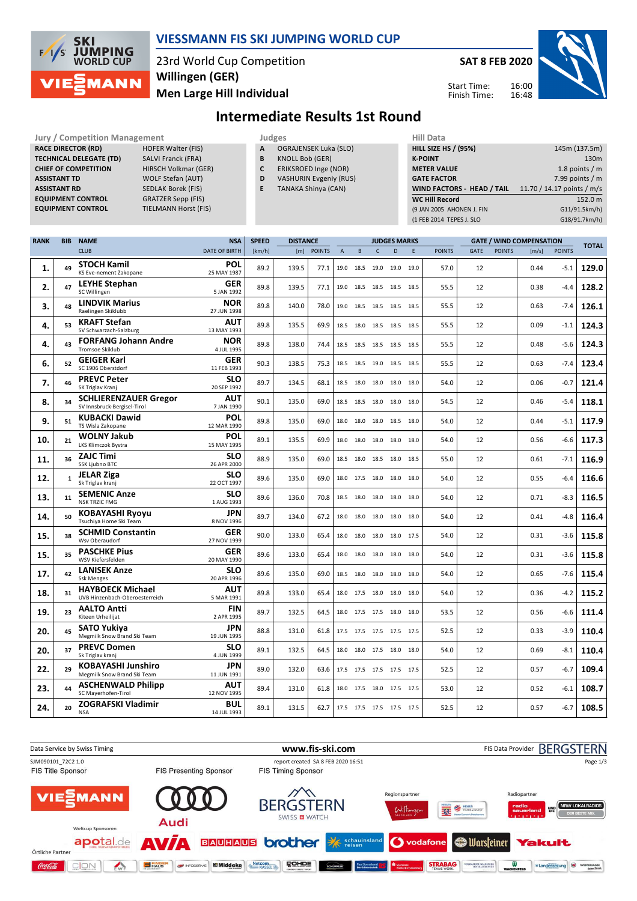

### **VIESSMANN FIS SKI JUMPING WORLD CUP**

23rd World Cup Competition **Men Large Hill Individual Willingen (GER)**

**SAT 8 FEB 2020**

16:00 16:48 Start Time: Finish Time:



## **Intermediate Results 1st Round**

Jury / Competition Management<br> **RACE DIRECTOR (RD)** HOFER Walter (FIS) **A** OGRAJENSEK Luka (SLO) **HILL SIZE HILL SIZE RACE DIRECTOR (RD) TECHNICAL DELEGATE (TD)** SALVI Franck (FRA) **CHIEF OF COMPETITION** HIRSCH Volkmar (GER) **ASSISTANT TD** WOLF Stefan (AUT) **ASSISTANT RD** SEDLAK Borek (FIS)<br>**EQUIPMENT CONTROL** GRATZER Sepp (FIS) **EQUIPMENT CONTROL** GRATZER Sepp (FIS)<br>**EQUIPMENT CONTROL** TIELMANN Horst (FIS) **EQUIPMENT CONTROL** 

- **A** OGRAJENSEK Luka (SLO)
- **B** KNOLL Bob (GER)
- **C** ERIKSROED Inge (NOR)
- **D** VASHURIN Evgeniy (RUS)
- **E** TANAKA Shinya (CAN)

| 11111 <i>Data</i>           |                            |
|-----------------------------|----------------------------|
| <b>HILL SIZE HS / (95%)</b> | 145m (137.5m)              |
| <b>K-POINT</b>              | 130 <sub>m</sub>           |
| <b>METER VALUE</b>          | 1.8 points $/m$            |
| <b>GATE FACTOR</b>          | 7.99 points $/m$           |
| WIND FACTORS - HEAD / TAIL  | 11.70 / 14.17 points / m/s |
| <b>WC Hill Record</b>       | 152.0 m                    |
| (9 JAN 2005 AHONEN J. FIN   | G11/91.5km/h)              |
| (1 FEB 2014 TEPES J. SLO    | G18/91.7km/h)              |
|                             |                            |

| <b>RANK</b> | <b>BIB</b>   | <b>NAME</b>                                                 | <b>NSA</b>                | <b>SPEED</b><br><b>DISTANCE</b> |       |               | <b>JUDGES MARKS</b> |                |                          |           |      | <b>GATE / WIND COMPENSATION</b> |      |               |       |               |              |
|-------------|--------------|-------------------------------------------------------------|---------------------------|---------------------------------|-------|---------------|---------------------|----------------|--------------------------|-----------|------|---------------------------------|------|---------------|-------|---------------|--------------|
|             |              | <b>CLUB</b>                                                 | <b>DATE OF BIRTH</b>      | [km/h]                          | [m]   | <b>POINTS</b> | $\overline{A}$      | B              | $\mathsf{C}$             | D         | E    | <b>POINTS</b>                   | GATE | <b>POINTS</b> | [m/s] | <b>POINTS</b> | <b>TOTAL</b> |
| 1.          | 49           | <b>STOCH Kamil</b><br>KS Eve-nement Zakopane                | <b>POL</b><br>25 MAY 1987 | 89.2                            | 139.5 | 77.1          |                     | 19.0 18.5      | 19.0                     | 19.0      | 19.0 | 57.0                            | 12   |               | 0.44  | $-5.1$        | 129.0        |
| 2.          | 47           | LEYHE Stephan<br>SC Willingen                               | <b>GER</b><br>5 JAN 1992  | 89.8                            | 139.5 | 77.1          |                     | 19.0 18.5      | 18.5                     | 18.5 18.5 |      | 55.5                            | 12   |               | 0.38  | $-4.4$        | 128.2        |
| 3.          | 48           | <b>LINDVIK Marius</b><br>Raelingen Skiklubb                 | <b>NOR</b><br>27 JUN 1998 | 89.8                            | 140.0 | 78.0          |                     | 19.0 18.5      | 18.5                     | 18.5 18.5 |      | 55.5                            | 12   |               | 0.63  | $-7.4$        | 126.1        |
| 4.          | 53           | <b>KRAFT Stefan</b><br>SV Schwarzach-Salzburg               | <b>AUT</b><br>13 MAY 1993 | 89.8                            | 135.5 | 69.9          |                     |                | 18.5 18.0 18.5 18.5 18.5 |           |      | 55.5                            | 12   |               | 0.09  | $-1.1$        | 124.3        |
| 4.          | 43           | <b>FORFANG Johann Andre</b><br><b>Tromsoe Skiklub</b>       | <b>NOR</b><br>4 JUL 1995  | 89.8                            | 138.0 | 74.4          |                     |                | 18.5 18.5 18.5 18.5 18.5 |           |      | 55.5                            | 12   |               | 0.48  | $-5.6$        | 124.3        |
| 6.          | 52           | <b>GEIGER Karl</b><br>SC 1906 Oberstdorf                    | <b>GER</b><br>11 FEB 1993 | 90.3                            | 138.5 | 75.3          |                     |                | 18.5 18.5 19.0 18.5 18.5 |           |      | 55.5                            | 12   |               | 0.63  | $-7.4$        | 123.4        |
| 7.          | 46           | <b>PREVC Peter</b><br>SK Triglav Kranj                      | <b>SLO</b><br>20 SEP 1992 | 89.7                            | 134.5 | 68.1          |                     |                | 18.5 18.0 18.0 18.0 18.0 |           |      | 54.0                            | 12   |               | 0.06  | $-0.7$        | 121.4        |
| 8.          | 34           | <b>SCHLIERENZAUER Gregor</b><br>SV Innsbruck-Bergisel-Tirol | <b>AUT</b><br>7 JAN 1990  | 90.1                            | 135.0 | 69.0          |                     |                | 18.5 18.5 18.0 18.0 18.0 |           |      | 54.5                            | 12   |               | 0.46  | $-5.4$        | 118.1        |
| 9.          | 51           | <b>KUBACKI Dawid</b><br>TS Wisla Zakopane                   | POL<br>12 MAR 1990        | 89.8                            | 135.0 | 69.0          |                     |                | 18.0 18.0 18.0 18.5 18.0 |           |      | 54.0                            | 12   |               | 0.44  | $-5.1$        | 117.9        |
| 10.         | 21           | <b>WOLNY Jakub</b><br>LKS Klimczok Bystra                   | POL<br>15 MAY 1995        | 89.1                            | 135.5 | 69.9          |                     |                | 18.0 18.0 18.0 18.0 18.0 |           |      | 54.0                            | 12   |               | 0.56  | $-6.6$        | 117.3        |
| 11.         | 36           | <b>ZAJC Timi</b><br><b>SSK Ljubno BTC</b>                   | SLO<br>26 APR 2000        | 88.9                            | 135.0 | 69.0          |                     |                | 18.5 18.0 18.5 18.0 18.5 |           |      | 55.0                            | 12   |               | 0.61  | $-7.1$        | 116.9        |
| 12.         | $\mathbf{1}$ | <b>JELAR Ziga</b><br>Sk Triglav kranj                       | <b>SLO</b><br>22 OCT 1997 | 89.6                            | 135.0 | 69.0          |                     |                | 18.0 17.5 18.0 18.0 18.0 |           |      | 54.0                            | 12   |               | 0.55  | $-6.4$        | 116.6        |
| 13.         | 11           | <b>SEMENIC Anze</b><br><b>NSK TRZIC FMG</b>                 | <b>SLO</b><br>1 AUG 1993  | 89.6                            | 136.0 | 70.8          |                     |                | 18.5 18.0 18.0 18.0 18.0 |           |      | 54.0                            | 12   |               | 0.71  | $-8.3$        | 116.5        |
| 14.         | 50           | <b>KOBAYASHI Ryoyu</b><br>Tsuchiya Home Ski Team            | <b>JPN</b><br>8 NOV 1996  | 89.7                            | 134.0 | 67.2          |                     |                | 18.0 18.0 18.0 18.0 18.0 |           |      | 54.0                            | 12   |               | 0.41  | $-4.8$        | 116.4        |
| 15.         | 38           | <b>SCHMID Constantin</b><br>Wsv Oberaudorf                  | <b>GER</b><br>27 NOV 1999 | 90.0                            | 133.0 | 65.4          |                     |                | 18.0 18.0 18.0 18.0 17.5 |           |      | 54.0                            | 12   |               | 0.31  | $-3.6$        | 115.8        |
| 15.         | 35           | <b>PASCHKE Pius</b><br>WSV Kiefersfelden                    | <b>GER</b><br>20 MAY 1990 | 89.6                            | 133.0 | 65.4          |                     |                | 18.0 18.0 18.0 18.0 18.0 |           |      | 54.0                            | 12   |               | 0.31  | $-3.6$        | 115.8        |
| 17.         | 42           | <b>LANISEK Anze</b><br><b>Ssk Menges</b>                    | SLO<br>20 APR 1996        | 89.6                            | 135.0 | 69.0          |                     |                | 18.5 18.0 18.0 18.0 18.0 |           |      | 54.0                            | 12   |               | 0.65  | $-7.6$        | 115.4        |
| 18.         | 31           | <b>HAYBOECK Michael</b><br>UVB Hinzenbach-Oberoesterreich   | AUT<br>5 MAR 1991         | 89.8                            | 133.0 | 65.4          |                     |                | 18.0 17.5 18.0 18.0 18.0 |           |      | 54.0                            | 12   |               | 0.36  | -4.2          | 115.2        |
| 19.         | 23           | <b>AALTO Antti</b><br>Kiteen Urheilijat                     | FIN<br>2 APR 1995         | 89.7                            | 132.5 | 64.5          |                     |                | 18.0 17.5 17.5 18.0 18.0 |           |      | 53.5                            | 12   |               | 0.56  | $-6.6$        | 111.4        |
| 20.         | 45           | <b>SATO Yukiva</b><br>Megmilk Snow Brand Ski Team           | JPN<br>19 JUN 1995        | 88.8                            | 131.0 | 61.8          |                     |                | 17.5 17.5 17.5 17.5 17.5 |           |      | 52.5                            | 12   |               | 0.33  | $-3.9$        | 110.4        |
| 20.         | 37           | <b>PREVC Domen</b><br>Sk Triglav kranj                      | <b>SLO</b><br>4 JUN 1999  | 89.1                            | 132.5 | 64.5          |                     | 18.0 18.0 17.5 |                          | 18.0 18.0 |      | 54.0                            | 12   |               | 0.69  | $-8.1$        | 110.4        |
| 22.         | 29           | <b>KOBAYASHI Junshiro</b><br>Megmilk Snow Brand Ski Team    | <b>JPN</b><br>11 JUN 1991 | 89.0                            | 132.0 | 63.6          |                     |                | 17.5 17.5 17.5 17.5 17.5 |           |      | 52.5                            | 12   |               | 0.57  | $-6.7$        | 109.4        |
| 23.         | 44           | <b>ASCHENWALD Philipp</b><br>SC Maverhofen-Tirol            | <b>AUT</b><br>12 NOV 1995 | 89.4                            | 131.0 | 61.8          |                     |                | 18.0 17.5 18.0 17.5 17.5 |           |      | 53.0                            | 12   |               | 0.52  | $-6.1$        | 108.7        |
| 24.         | 20           | <b>ZOGRAFSKI Vladimir</b><br><b>NSA</b>                     | <b>BUL</b><br>14 JUL 1993 | 89.1                            | 131.5 | 62.7          |                     |                | 17.5 17.5 17.5 17.5 17.5 |           |      | 52.5                            | 12   |               | 0.57  | $-6.7$        | 108.5        |

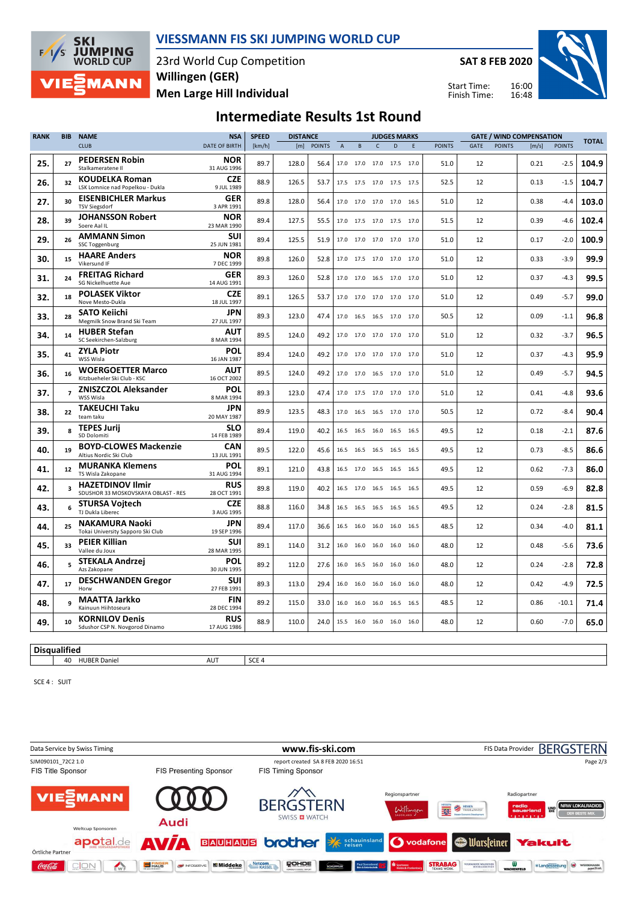

### **VIESSMANN FIS SKI JUMPING WORLD CUP**

23rd World Cup Competition **Men Large Hill Individual Willingen (GER)**

**SAT 8 FEB 2020**

Start Time: Finish Time:



# **Intermediate Results 1st Round**

| <b>RANK</b> | <b>BIB</b>              | <b>NAME</b>                                                    | <b>NSA</b>                | <b>SPEED</b><br><b>DISTANCE</b> |       |               | <b>JUDGES MARKS</b> |           |                          |           |      |               |      |               | <b>GATE / WIND COMPENSATION</b> |               |              |
|-------------|-------------------------|----------------------------------------------------------------|---------------------------|---------------------------------|-------|---------------|---------------------|-----------|--------------------------|-----------|------|---------------|------|---------------|---------------------------------|---------------|--------------|
|             |                         | <b>CLUB</b>                                                    | DATE OF BIRTH             | [km/h]                          | [m]   | <b>POINTS</b> | $\mathsf A$         | $\,$ B    | $\mathsf{C}$             | D         | E    | <b>POINTS</b> | GATE | <b>POINTS</b> | [m/s]                           | <b>POINTS</b> | <b>TOTAL</b> |
| 25.         | 27                      | <b>PEDERSEN Robin</b><br>Stalkameratene II                     | <b>NOR</b><br>31 AUG 1996 | 89.7                            | 128.0 | 56.4          |                     | 17.0 17.0 | 17.0                     | 17.5 17.0 |      | 51.0          | 12   |               | 0.21                            | $-2.5$        | 104.9        |
| 26.         | 32                      | <b>KOUDELKA Roman</b><br>LSK Lomnice nad Popelkou - Dukla      | <b>CZE</b><br>9 JUL 1989  | 88.9                            | 126.5 | 53.7          |                     |           | 17.5 17.5 17.0 17.5 17.5 |           |      | 52.5          | 12   |               | 0.13                            | $-1.5$        | 104.7        |
| 27.         | 30                      | <b>EISENBICHLER Markus</b><br><b>TSV Siegsdorf</b>             | <b>GER</b><br>3 APR 1991  | 89.8                            | 128.0 | 56.4          |                     |           | 17.0 17.0 17.0 17.0 16.5 |           |      | 51.0          | 12   |               | 0.38                            | $-4.4$        | 103.0        |
| 28.         | 39                      | <b>JOHANSSON Robert</b><br>Soere Aal IL                        | <b>NOR</b><br>23 MAR 1990 | 89.4                            | 127.5 | 55.5          |                     |           | 17.0 17.5 17.0 17.5 17.0 |           |      | 51.5          | 12   |               | 0.39                            | $-4.6$        | 102.4        |
| 29.         | 26                      | <b>AMMANN Simon</b><br><b>SSC Toggenburg</b>                   | <b>SUI</b><br>25 JUN 1981 | 89.4                            | 125.5 | 51.9          |                     | 17.0 17.0 | 17.0 17.0 17.0           |           |      | 51.0          | 12   |               | 0.17                            | $-2.0$        | 100.9        |
| 30.         | 15                      | <b>HAARE Anders</b><br>Vikersund IF                            | <b>NOR</b><br>7 DEC 1999  | 89.8                            | 126.0 | 52.8          |                     | 17.0 17.5 | 17.0 17.0 17.0           |           |      | 51.0          | 12   |               | 0.33                            | $-3.9$        | 99.9         |
| 31.         | 24                      | <b>FREITAG Richard</b><br>SG Nickelhuette Aue                  | <b>GER</b><br>14 AUG 1991 | 89.3                            | 126.0 | 52.8          |                     |           | 17.0 17.0 16.5 17.0 17.0 |           |      | 51.0          | 12   |               | 0.37                            | $-4.3$        | 99.5         |
| 32.         | 18                      | <b>POLASEK Viktor</b><br>Nove Mesto-Dukla                      | <b>CZE</b><br>18 JUL 1997 | 89.1                            | 126.5 | 53.7          |                     | 17.0 17.0 | 17.0 17.0 17.0           |           |      | 51.0          | 12   |               | 0.49                            | $-5.7$        | 99.0         |
| 33.         | 28                      | <b>SATO Keiichi</b><br>Megmilk Snow Brand Ski Team             | JPN<br>27 JUL 1997        | 89.3                            | 123.0 | 47.4          |                     |           | 17.0 16.5 16.5 17.0 17.0 |           |      | 50.5          | 12   |               | 0.09                            | $-1.1$        | 96.8         |
| 34.         | 14                      | <b>HUBER Stefan</b><br>SC Seekirchen-Salzburg                  | AUT<br>8 MAR 1994         | 89.5                            | 124.0 | 49.2          |                     | 17.0 17.0 | 17.0 17.0 17.0           |           |      | 51.0          | 12   |               | 0.32                            | $-3.7$        | 96.5         |
| 35.         | 41                      | <b>ZYLA Piotr</b><br>WSS Wisla                                 | <b>POL</b><br>16 JAN 1987 | 89.4                            | 124.0 | 49.2          |                     | 17.0 17.0 | 17.0 17.0 17.0           |           |      | 51.0          | 12   |               | 0.37                            | $-4.3$        | 95.9         |
| 36.         | 16                      | <b>WOERGOETTER Marco</b><br>Kitzbueheler Ski Club - KSC        | <b>AUT</b><br>16 OCT 2002 | 89.5                            | 124.0 | 49.2          |                     |           | 17.0 17.0 16.5 17.0 17.0 |           |      | 51.0          | 12   |               | 0.49                            | $-5.7$        | 94.5         |
| 37.         | $\overline{7}$          | <b>ZNISZCZOL Aleksander</b><br>WSS Wisla                       | <b>POL</b><br>8 MAR 1994  | 89.3                            | 123.0 | 47.4          |                     | 17.0 17.5 | 17.0 17.0 17.0           |           |      | 51.0          | 12   |               | 0.41                            | $-4.8$        | 93.6         |
| 38.         | 22                      | <b>TAKEUCHI Taku</b><br>team taku                              | JPN<br>20 MAY 1987        | 89.9                            | 123.5 | 48.3          |                     |           | 17.0 16.5 16.5 17.0 17.0 |           |      | 50.5          | 12   |               | 0.72                            | $-8.4$        | 90.4         |
| 39.         | 8                       | <b>TEPES Jurij</b><br>SD Dolomiti                              | SLO<br>14 FEB 1989        | 89.4                            | 119.0 | 40.2          |                     | 16.5 16.5 | 16.0 16.5 16.5           |           |      | 49.5          | 12   |               | 0.18                            | $-2.1$        | 87.6         |
| 40.         | 19                      | <b>BOYD-CLOWES Mackenzie</b><br>Altius Nordic Ski Club         | CAN<br>13 JUL 1991        | 89.5                            | 122.0 | 45.6          |                     |           | 16.5 16.5 16.5 16.5 16.5 |           |      | 49.5          | 12   |               | 0.73                            | $-8.5$        | 86.6         |
| 41.         | 12                      | <b>MURANKA Klemens</b><br>TS Wisla Zakopane                    | POL<br>31 AUG 1994        | 89.1                            | 121.0 | 43.8          |                     |           | 16.5 17.0 16.5 16.5 16.5 |           |      | 49.5          | 12   |               | 0.62                            | $-7.3$        | 86.0         |
| 42.         | $\overline{\mathbf{3}}$ | <b>HAZETDINOV Ilmir</b><br>SDUSHOR 33 MOSKOVSKAYA OBLAST - RES | <b>RUS</b><br>28 OCT 1991 | 89.8                            | 119.0 | 40.2          |                     | 16.5 17.0 | 16.5 16.5 16.5           |           |      | 49.5          | 12   |               | 0.59                            | $-6.9$        | 82.8         |
| 43.         | 6                       | <b>STURSA Voitech</b><br>TJ Dukla Liberec                      | <b>CZE</b><br>3 AUG 1995  | 88.8                            | 116.0 | 34.8          |                     | 16.5 16.5 | 16.5 16.5 16.5           |           |      | 49.5          | 12   |               | 0.24                            | $-2.8$        | 81.5         |
| 44.         | 25                      | <b>NAKAMURA Naoki</b><br>Tokai University Sapporo Ski Club     | <b>JPN</b><br>19 SEP 1996 | 89.4                            | 117.0 | 36.6          |                     | 16.5 16.0 | 16.0 16.0 16.5           |           |      | 48.5          | 12   |               | 0.34                            | $-4.0$        | 81.1         |
| 45.         | 33                      | <b>PEIER Killian</b><br>Vallee du Joux                         | <b>SUI</b><br>28 MAR 1995 | 89.1                            | 114.0 | 31.2          |                     | 16.0 16.0 | 16.0 16.0 16.0           |           |      | 48.0          | 12   |               | 0.48                            | $-5.6$        | 73.6         |
| 46.         | 5.                      | <b>STEKALA Andrzej</b><br>Azs Zakopane                         | POL<br>30 JUN 1995        | 89.2                            | 112.0 | 27.6          |                     |           | 16.0 16.5 16.0 16.0 16.0 |           |      | 48.0          | 12   |               | 0.24                            | $-2.8$        | 72.8         |
| 47.         | 17                      | <b>DESCHWANDEN Gregor</b><br>Horw                              | SUI<br>27 FEB 1991        | 89.3                            | 113.0 | 29.4          | 16.0                | 16.0      | 16.0                     | 16.0      | 16.0 | 48.0          | 12   |               | 0.42                            | $-4.9$        | 72.5         |
| 48.         | 9                       | <b>MAATTA Jarkko</b><br>Kainuun Hiihtoseura                    | <b>FIN</b><br>28 DEC 1994 | 89.2                            | 115.0 | 33.0          |                     | 16.0 16.0 | 16.0                     | 16.5 16.5 |      | 48.5          | 12   |               | 0.86                            | $-10.1$       | 71.4         |
| 49.         | 10                      | <b>KORNILOV Denis</b><br>Sdushor CSP N. Novgorod Dinamo        | <b>RUS</b><br>17 AUG 1986 | 88.9                            | 110.0 | 24.0          |                     | 15.5 16.0 | 16.0 16.0 16.0           |           |      | 48.0          | 12   |               | 0.60                            | $-7.0$        | 65.0         |
|             |                         |                                                                |                           |                                 |       |               |                     |           |                          |           |      |               |      |               |                                 |               |              |

### **Disqualified**

40 HUBER Daniel AUT SCE 4

SCE 4 : SUIT